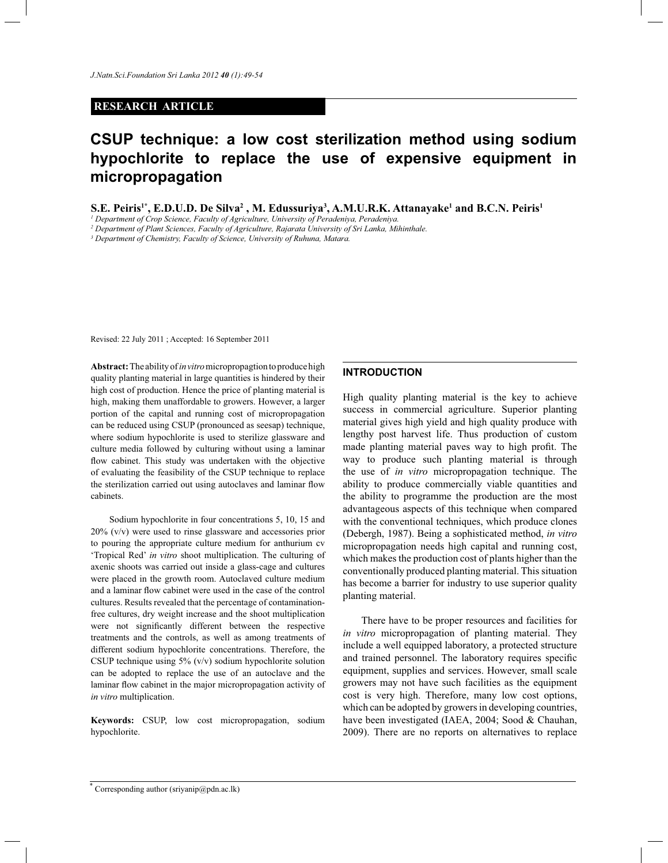## **RESEARCH ARTICLE**

# **CSUP technique: a low cost sterilization method using sodium hypochlorite to replace the use of expensive equipment in micropropagation**

**S.E. Peiris1\*, E.D.U.D. De Silva<sup>2</sup> , M. Edussuriya<sup>3</sup> , A.M.U.R.K. Attanayake<sup>1</sup> and B.C.N. Peiris<sup>1</sup>**

*1 Department of Crop Science, Faculty of Agriculture, University of Peradeniya, Peradeniya.*

*2 Department of Plant Sciences, Faculty of Agriculture, Rajarata University of Sri Lanka, Mihinthale.*

*3 Department of Chemistry, Faculty of Science, University of Ruhuna, Matara.*

Revised: 22 July 2011 ; Accepted: 16 September 2011

**Abstract:** The ability of *in vitro* micropropagtion to produce high quality planting material in large quantities is hindered by their high cost of production. Hence the price of planting material is high, making them unaffordable to growers. However, a larger portion of the capital and running cost of micropropagation can be reduced using CSUP (pronounced as seesap) technique, where sodium hypochlorite is used to sterilize glassware and culture media followed by culturing without using a laminar flow cabinet. This study was undertaken with the objective of evaluating the feasibility of the CSUP technique to replace the sterilization carried out using autoclaves and laminar flow cabinets.

 Sodium hypochlorite in four concentrations 5, 10, 15 and 20% (v/v) were used to rinse glassware and accessories prior to pouring the appropriate culture medium for anthurium cv 'Tropical Red' *in vitro* shoot multiplication. The culturing of axenic shoots was carried out inside a glass-cage and cultures were placed in the growth room. Autoclaved culture medium and a laminar flow cabinet were used in the case of the control cultures. Results revealed that the percentage of contaminationfree cultures, dry weight increase and the shoot multiplication were not significantly different between the respective treatments and the controls, as well as among treatments of different sodium hypochlorite concentrations. Therefore, the CSUP technique using  $5\%$  (v/v) sodium hypochlorite solution can be adopted to replace the use of an autoclave and the laminar flow cabinet in the major micropropagation activity of *in vitro* multiplication.

**Keywords:** CSUP, low cost micropropagation, sodium hypochlorite.

## **INTRODUCTION**

High quality planting material is the key to achieve success in commercial agriculture. Superior planting material gives high yield and high quality produce with lengthy post harvest life. Thus production of custom made planting material paves way to high profit. The way to produce such planting material is through the use of *in vitro* micropropagation technique. The ability to produce commercially viable quantities and the ability to programme the production are the most advantageous aspects of this technique when compared with the conventional techniques, which produce clones (Debergh, 1987). Being a sophisticated method, *in vitro* micropropagation needs high capital and running cost, which makes the production cost of plants higher than the conventionally produced planting material. This situation has become a barrier for industry to use superior quality planting material.

 There have to be proper resources and facilities for *in vitro* micropropagation of planting material. They include a well equipped laboratory, a protected structure and trained personnel. The laboratory requires specific equipment, supplies and services. However, small scale growers may not have such facilities as the equipment cost is very high. Therefore, many low cost options, which can be adopted by growers in developing countries, have been investigated (IAEA, 2004; Sood & Chauhan, 2009). There are no reports on alternatives to replace

<sup>\*</sup> Corresponding author (sriyanip@pdn.ac.lk)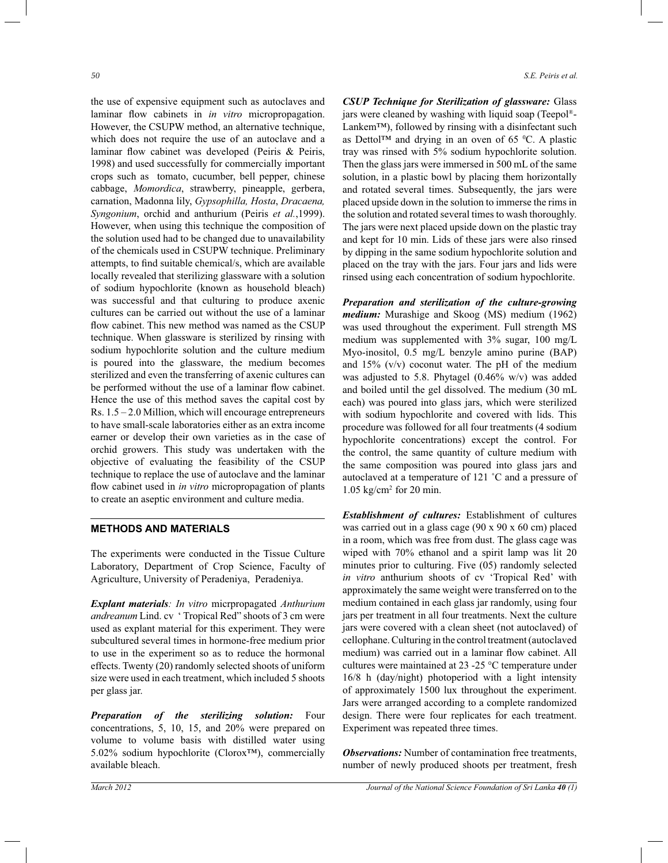the use of expensive equipment such as autoclaves and laminar flow cabinets in *in vitro* micropropagation. However, the CSUPW method, an alternative technique, which does not require the use of an autoclave and a laminar flow cabinet was developed (Peiris & Peiris, 1998) and used successfully for commercially important crops such as tomato, cucumber, bell pepper, chinese cabbage, *Momordica*, strawberry, pineapple, gerbera, carnation, Madonna lily, *Gypsophilla, Hosta*, *Dracaena, Syngonium*, orchid and anthurium (Peiris *et al.*,1999). However, when using this technique the composition of the solution used had to be changed due to unavailability of the chemicals used in CSUPW technique. Preliminary attempts, to find suitable chemical/s, which are available locally revealed that sterilizing glassware with a solution of sodium hypochlorite (known as household bleach) was successful and that culturing to produce axenic cultures can be carried out without the use of a laminar flow cabinet. This new method was named as the CSUP technique. When glassware is sterilized by rinsing with sodium hypochlorite solution and the culture medium is poured into the glassware, the medium becomes sterilized and even the transferring of axenic cultures can be performed without the use of a laminar flow cabinet. Hence the use of this method saves the capital cost by Rs. 1.5 – 2.0 Million, which will encourage entrepreneurs to have small-scale laboratories either as an extra income earner or develop their own varieties as in the case of orchid growers. This study was undertaken with the objective of evaluating the feasibility of the CSUP technique to replace the use of autoclave and the laminar flow cabinet used in *in vitro* micropropagation of plants to create an aseptic environment and culture media.

#### **METHODS AND MATERIALS**

The experiments were conducted in the Tissue Culture Laboratory, Department of Crop Science, Faculty of Agriculture, University of Peradeniya, Peradeniya.

*Explant materials: In vitro* micrpropagated *Anthurium andreanum* Lind. cv ' Tropical Red" shoots of 3 cm were used as explant material for this experiment. They were subcultured several times in hormone-free medium prior to use in the experiment so as to reduce the hormonal effects. Twenty (20) randomly selected shoots of uniform size were used in each treatment, which included 5 shoots per glass jar.

*Preparation of the sterilizing solution:* Four concentrations, 5, 10, 15, and 20% were prepared on volume to volume basis with distilled water using 5.02% sodium hypochlorite (Clorox™), commercially available bleach.

*CSUP Technique for Sterilization of glassware:* Glass jars were cleaned by washing with liquid soap (Teepol® - Lankem™), followed by rinsing with a disinfectant such as Dettol<sup>™</sup> and drying in an oven of 65  $°C$ . A plastic tray was rinsed with 5% sodium hypochlorite solution. Then the glass jars were immersed in 500 mL of the same solution, in a plastic bowl by placing them horizontally and rotated several times. Subsequently, the jars were placed upside down in the solution to immerse the rims in the solution and rotated several times to wash thoroughly. The jars were next placed upside down on the plastic tray and kept for 10 min. Lids of these jars were also rinsed by dipping in the same sodium hypochlorite solution and placed on the tray with the jars. Four jars and lids were rinsed using each concentration of sodium hypochlorite.

*Preparation and sterilization of the culture-growing medium:* Murashige and Skoog (MS) medium (1962) was used throughout the experiment. Full strength MS medium was supplemented with 3% sugar, 100 mg/L Myo-inositol, 0.5 mg/L benzyle amino purine (BAP) and  $15\%$  (v/v) coconut water. The pH of the medium was adjusted to 5.8. Phytagel (0.46% w/v) was added and boiled until the gel dissolved. The medium (30 mL each) was poured into glass jars, which were sterilized with sodium hypochlorite and covered with lids. This procedure was followed for all four treatments (4 sodium hypochlorite concentrations) except the control. For the control, the same quantity of culture medium with the same composition was poured into glass jars and autoclaved at a temperature of 121 ˚C and a pressure of  $1.05$  kg/cm<sup>2</sup> for 20 min.

*Establishment of cultures:* Establishment of cultures was carried out in a glass cage (90 x 90 x 60 cm) placed in a room, which was free from dust. The glass cage was wiped with 70% ethanol and a spirit lamp was lit 20 minutes prior to culturing. Five (05) randomly selected *in vitro* anthurium shoots of cv 'Tropical Red' with approximately the same weight were transferred on to the medium contained in each glass jar randomly, using four jars per treatment in all four treatments. Next the culture jars were covered with a clean sheet (not autoclaved) of cellophane. Culturing in the control treatment (autoclaved medium) was carried out in a laminar flow cabinet. All cultures were maintained at 23 -25 °C temperature under 16/8 h (day/night) photoperiod with a light intensity of approximately 1500 lux throughout the experiment. Jars were arranged according to a complete randomized design. There were four replicates for each treatment. Experiment was repeated three times.

*Observations:* Number of contamination free treatments, number of newly produced shoots per treatment, fresh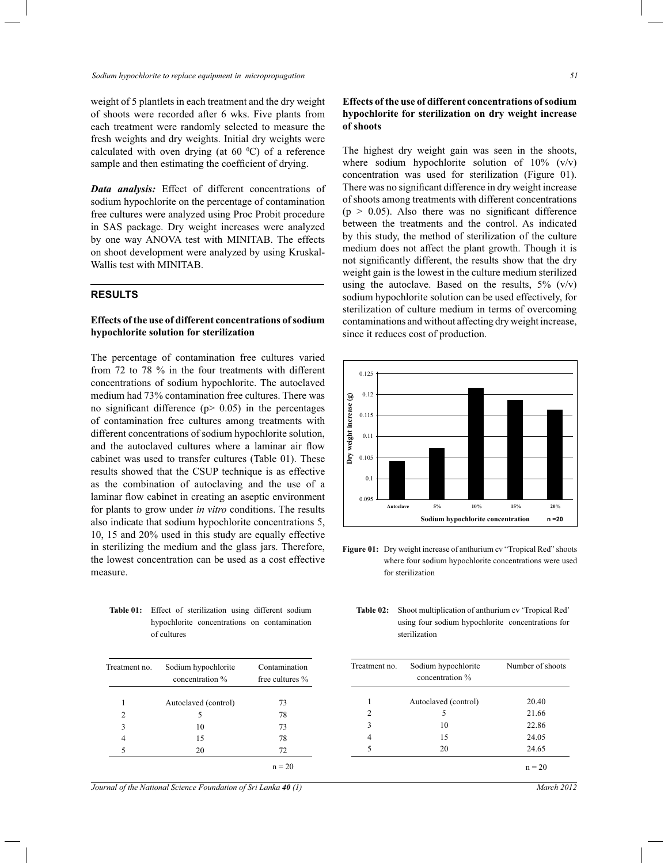weight of 5 plantlets in each treatment and the dry weight of shoots were recorded after 6 wks. Five plants from each treatment were randomly selected to measure the fresh weights and dry weights. Initial dry weights were calculated with oven drying (at  $60\degree\text{C}$ ) of a reference sample and then estimating the coefficient of drying.

*Data analysis:* Effect of different concentrations of sodium hypochlorite on the percentage of contamination free cultures were analyzed using Proc Probit procedure in SAS package. Dry weight increases were analyzed by one way ANOVA test with MINITAB. The effects on shoot development were analyzed by using Kruskal-Wallis test with MINITAB.

## **RESULTS**

## **Effects of the use of different concentrations of sodium hypochlorite solution for sterilization**

The percentage of contamination free cultures varied from 72 to 78 % in the four treatments with different concentrations of sodium hypochlorite. The autoclaved medium had 73% contamination free cultures. There was no significant difference ( $p$  > 0.05) in the percentages of contamination free cultures among treatments with different concentrations of sodium hypochlorite solution, and the autoclaved cultures where a laminar air flow cabinet was used to transfer cultures (Table 01). These results showed that the CSUP technique is as effective as the combination of autoclaving and the use of a laminar flow cabinet in creating an aseptic environment for plants to grow under *in vitro* conditions. The results also indicate that sodium hypochlorite concentrations 5, 10, 15 and 20% used in this study are equally effective in sterilizing the medium and the glass jars. Therefore, the lowest concentration can be used as a cost effective measure.

**Table 01:** Effect of sterilization using different sodium hypochlorite concentrations on contamination of cultures

| Treatment no.  | Sodium hypochlorite<br>concentration % | Contamination<br>free cultures $%$ |  |
|----------------|----------------------------------------|------------------------------------|--|
| 1              | Autoclaved (control)                   | 73                                 |  |
| $\overline{c}$ | 5                                      | 78                                 |  |
| 3              | 10                                     | 73                                 |  |
| 4              | 15                                     | 78                                 |  |
| 5              | 20                                     | 72                                 |  |
|                |                                        | $n = 20$                           |  |

*Journal of the National Science Foundation of Sri Lanka 40 (1)* March 2012

### **Effects of the use of different concentrations of sodium hypochlorite for sterilization on dry weight increase of shoots**

The highest dry weight gain was seen in the shoots, where sodium hypochlorite solution of  $10\%$  (v/v) concentration was used for sterilization (Figure 01). There was no significant difference in dry weight increase of shoots among treatments with different concentrations  $(p > 0.05)$ . Also there was no significant difference between the treatments and the control. As indicated by this study, the method of sterilization of the culture medium does not affect the plant growth. Though it is not significantly different, the results show that the dry weight gain is the lowest in the culture medium sterilized using the autoclave. Based on the results,  $5\%$  (v/v) sodium hypochlorite solution can be used effectively, for sterilization of culture medium in terms of overcoming contaminations and without affecting dry weight increase, since it reduces cost of production.



Figure 01: Dry weight increase of anthurium cv "Tropical Red" shoots where four sodium hypochlorite concentrations were used for sterilization

| Table 02: | Shoot multiplication of anthurium cv 'Tropical Red' |  |  |  |
|-----------|-----------------------------------------------------|--|--|--|
|           | using four sodium hypochlorite concentrations for   |  |  |  |
|           | sterilization                                       |  |  |  |
|           |                                                     |  |  |  |

| Treatment no.  | Sodium hypochlorite<br>concentration % | Number of shoots |
|----------------|----------------------------------------|------------------|
| 1              | Autoclaved (control)                   | 20.40            |
| $\overline{c}$ | 5                                      | 21.66            |
| 3              | 10                                     | 22.86            |
| 4              | 15                                     | 24.05            |
| 5              | 20                                     | 24.65            |
|                |                                        | $n = 20$         |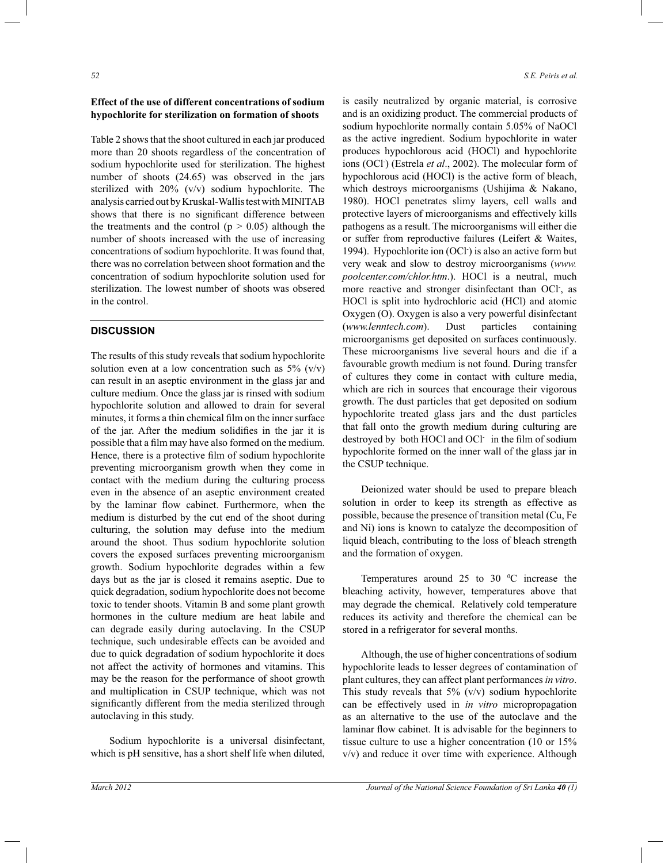## **Effect of the use of different concentrations of sodium hypochlorite for sterilization on formation of shoots**

Table 2 shows that the shoot cultured in each jar produced more than 20 shoots regardless of the concentration of sodium hypochlorite used for sterilization. The highest number of shoots (24.65) was observed in the jars sterilized with 20% (v/v) sodium hypochlorite. The analysis carried out by Kruskal-Wallis test with MINITAB shows that there is no significant difference between the treatments and the control ( $p > 0.05$ ) although the number of shoots increased with the use of increasing concentrations of sodium hypochlorite. It was found that, there was no correlation between shoot formation and the concentration of sodium hypochlorite solution used for sterilization. The lowest number of shoots was obsered in the control.

### **DISCUSSION**

The results of this study reveals that sodium hypochlorite solution even at a low concentration such as  $5\%$  (v/v) can result in an aseptic environment in the glass jar and culture medium. Once the glass jar is rinsed with sodium hypochlorite solution and allowed to drain for several minutes, it forms a thin chemical film on the inner surface of the jar. After the medium solidifies in the jar it is possible that a film may have also formed on the medium. Hence, there is a protective film of sodium hypochlorite preventing microorganism growth when they come in contact with the medium during the culturing process even in the absence of an aseptic environment created by the laminar flow cabinet. Furthermore, when the medium is disturbed by the cut end of the shoot during culturing, the solution may defuse into the medium around the shoot. Thus sodium hypochlorite solution covers the exposed surfaces preventing microorganism growth. Sodium hypochlorite degrades within a few days but as the jar is closed it remains aseptic. Due to quick degradation, sodium hypochlorite does not become toxic to tender shoots. Vitamin B and some plant growth hormones in the culture medium are heat labile and can degrade easily during autoclaving. In the CSUP technique, such undesirable effects can be avoided and due to quick degradation of sodium hypochlorite it does not affect the activity of hormones and vitamins. This may be the reason for the performance of shoot growth and multiplication in CSUP technique, which was not significantly different from the media sterilized through autoclaving in this study.

 Sodium hypochlorite is a universal disinfectant, which is pH sensitive, has a short shelf life when diluted,

is easily neutralized by organic material, is corrosive and is an oxidizing product. The commercial products of sodium hypochlorite normally contain 5.05% of NaOCl as the active ingredient. Sodium hypochlorite in water produces hypochlorous acid (HOCl) and hypochlorite ions (OCl- ) (Estrela *et al*., 2002). The molecular form of hypochlorous acid (HOCl) is the active form of bleach, which destroys microorganisms (Ushijima & Nakano, 1980). HOCl penetrates slimy layers, cell walls and protective layers of microorganisms and effectively kills pathogens as a result. The microorganisms will either die or suffer from reproductive failures (Leifert & Waites, 1994). Hypochlorite ion (OCl- ) is also an active form but very weak and slow to destroy microorganisms (*www. poolcenter.com/chlor.htm*.). HOCl is a neutral, much more reactive and stronger disinfectant than OCl- , as HOCl is split into hydrochloric acid (HCl) and atomic Oxygen (O). Oxygen is also a very powerful disinfectant (*www.lenntech.com*). Dust particles containing microorganisms get deposited on surfaces continuously. These microorganisms live several hours and die if a favourable growth medium is not found. During transfer of cultures they come in contact with culture media, which are rich in sources that encourage their vigorous growth. The dust particles that get deposited on sodium hypochlorite treated glass jars and the dust particles that fall onto the growth medium during culturing are destroyed by both HOCl and OCl- in the film of sodium hypochlorite formed on the inner wall of the glass jar in the CSUP technique.

 Deionized water should be used to prepare bleach solution in order to keep its strength as effective as possible, because the presence of transition metal (Cu, Fe and Ni) ions is known to catalyze the decomposition of liquid bleach, contributing to the loss of bleach strength and the formation of oxygen.

Temperatures around 25 to 30  $^{\circ}$ C increase the bleaching activity, however, temperatures above that may degrade the chemical. Relatively cold temperature reduces its activity and therefore the chemical can be stored in a refrigerator for several months.

 Although, the use of higher concentrations of sodium hypochlorite leads to lesser degrees of contamination of plant cultures, they can affect plant performances *in vitro*. This study reveals that  $5\%$  (v/v) sodium hypochlorite can be effectively used in *in vitro* micropropagation as an alternative to the use of the autoclave and the laminar flow cabinet. It is advisable for the beginners to tissue culture to use a higher concentration (10 or 15% v/v) and reduce it over time with experience. Although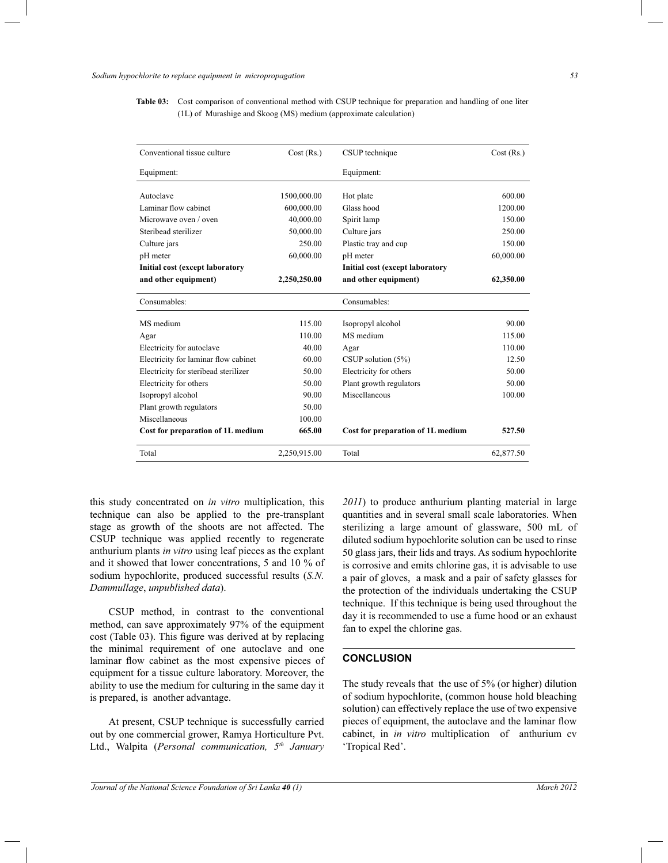**Table 03:** Cost comparison of conventional method with CSUP technique for preparation and handling of one liter (1L) of Murashige and Skoog (MS) medium (approximate calculation)

| Conventional tissue culture            | Cost (Rs.)   | CSUP technique                         | Cost (Rs.) |
|----------------------------------------|--------------|----------------------------------------|------------|
| Equipment:                             |              | Equipment:                             |            |
| Autoclave                              | 1500,000.00  | Hot plate                              | 600.00     |
| Laminar flow cabinet                   | 600,000.00   | Glass hood                             | 1200.00    |
| Microwave oven / oven                  | 40,000.00    | Spirit lamp                            | 150.00     |
| Steribead sterilizer                   | 50,000.00    | Culture jars                           | 250.00     |
| Culture jars                           | 250.00       | Plastic tray and cup                   | 150.00     |
| pH meter                               | 60,000.00    | pH meter                               | 60,000.00  |
| <b>Initial cost (except laboratory</b> |              | <b>Initial cost (except laboratory</b> |            |
| and other equipment)                   | 2,250,250.00 | and other equipment)                   | 62,350.00  |
| Consumables:                           |              | Consumables:                           |            |
| MS medium                              | 115.00       | Isopropyl alcohol                      | 90.00      |
| Agar                                   | 110.00       | MS medium                              | 115.00     |
| Electricity for autoclave              | 40.00        | Agar                                   | 110.00     |
| Electricity for laminar flow cabinet   | 60.00        | CSUP solution $(5\%)$                  | 12.50      |
| Electricity for steribead sterilizer   | 50.00        | Electricity for others                 | 50.00      |
| Electricity for others                 | 50.00        | Plant growth regulators                | 50.00      |
| Isopropyl alcohol                      | 90.00        | Miscellaneous                          | 100.00     |
| Plant growth regulators                | 50.00        |                                        |            |
| Miscellaneous                          | 100.00       |                                        |            |
| Cost for preparation of 1L medium      | 665.00       | Cost for preparation of 1L medium      | 527.50     |
| Total                                  | 2,250,915.00 | Total                                  | 62,877.50  |

this study concentrated on *in vitro* multiplication, this technique can also be applied to the pre-transplant stage as growth of the shoots are not affected. The CSUP technique was applied recently to regenerate anthurium plants *in vitro* using leaf pieces as the explant and it showed that lower concentrations, 5 and 10 % of sodium hypochlorite, produced successful results (*S.N. Dammullage*, *unpublished data*).

 CSUP method, in contrast to the conventional method, can save approximately 97% of the equipment cost (Table 03). This figure was derived at by replacing the minimal requirement of one autoclave and one laminar flow cabinet as the most expensive pieces of equipment for a tissue culture laboratory. Moreover, the ability to use the medium for culturing in the same day it is prepared, is another advantage.

 At present, CSUP technique is successfully carried out by one commercial grower, Ramya Horticulture Pvt. Ltd., Walpita (*Personal communication, 5th January*  *2011*) to produce anthurium planting material in large quantities and in several small scale laboratories. When sterilizing a large amount of glassware, 500 mL of diluted sodium hypochlorite solution can be used to rinse 50 glass jars, their lids and trays. As sodium hypochlorite is corrosive and emits chlorine gas, it is advisable to use a pair of gloves, a mask and a pair of safety glasses for the protection of the individuals undertaking the CSUP technique. If this technique is being used throughout the day it is recommended to use a fume hood or an exhaust fan to expel the chlorine gas.

#### **CONCLUSION**

The study reveals that the use of 5% (or higher) dilution of sodium hypochlorite, (common house hold bleaching solution) can effectively replace the use of two expensive pieces of equipment, the autoclave and the laminar flow cabinet, in *in vitro* multiplication of anthurium cv 'Tropical Red'.